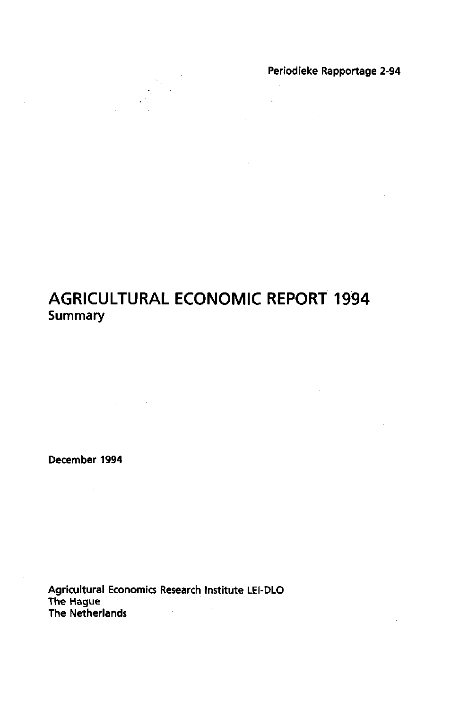Periodieke Rapportage 2-94

 $\sim 10$ 

 $\mathcal{L}^{\text{max}}$  $\label{eq:2.1} \frac{1}{\sqrt{2\pi}}\frac{1}{\sqrt{2\pi}}\left(\frac{1}{\sqrt{2\pi}}\right)^{1/2}\left(\frac{1}{\sqrt{2\pi}}\right)^{1/2}\left(\frac{1}{\sqrt{2\pi}}\right)^{1/2}\left(\frac{1}{\sqrt{2\pi}}\right)^{1/2}.$ 

 $\sim 10^{11}$  and  $\sim 10^{11}$ 

### **AGRICULTURAL ECONOMIC REPORT 1994**  Summary

December 1994

 $\mathcal{L}^{\text{max}}_{\text{max}}$  and  $\mathcal{L}^{\text{max}}_{\text{max}}$ 

Agricultural Economics Research Institute LEI-DLO The Hague The Netherlands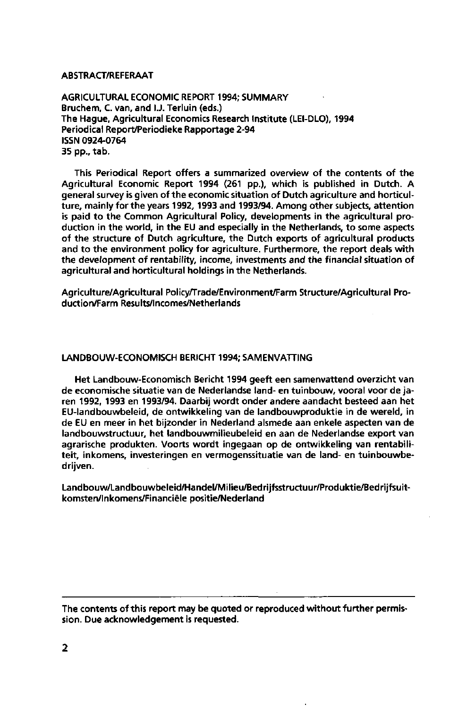#### ABSTRACT/REFERAAT

AGRICULTURAL ECONOMIC REPORT 1994; SUMMARY Bruchem, C. van, and I.J. Terluin (eds.) The Hague, Agricultural Economics Research Institute (LEI-DLO), 1994 Periodical Report/Periodieke Rapportage 2-94 ISSN 0924-0764 35 pp., tab.

This Periodical Report offers a summarized overview of the contents of the Agricultural Economic Report 1994 (261 pp.), which is published in Dutch. A general survey is given of the economic situation of Dutch agriculture and horticulture, mainly for the years 1992, 1993 and 1993/94. Among other subjects, attention is paid to the Common Agricultural Policy, developments in the agricultural production in the world, in the EU and especially in the Netherlands, to some aspects of the structure of Dutch agriculture, the Dutch exports of agricultural products and to the environment policy for agriculture. Furthermore, the report deals with the development of rentability, income, investments and the financial situation of agricultural and horticultural holdings in the Netherlands.

Agriculture/Agricultural Policy/Trade/Environment/Farm Structure/Agricultural Production/Farm Results/lncomes/Netherlands

#### LANDBOUW-ECONOMISCH BERICHT 1994; SAMENVATTING

Het Landbouw-Economisch Bericht 1994 geeft een samenvattend overzicht van de economische situatie van de Nederlandse land- en tuinbouw, vooral voor de jaren 1992, 1993 en 1993/94. Daarbij wordt onder andere aandacht besteed aan het EU-landbouwbeleid, de ontwikkeling van de landbouwproduktie in de wereld, in de EU en meer in het bijzonder in Nederland alsmede aan enkele aspecten van de landbouwstructuur, het landbouwmilieubeleid en aan de Nederlandse export van agrarische produkten. Voorts wordt ingegaan op de ontwikkeling van rentabiliteit, inkomens, investeringen en vermogenssituatie van de land- en tuinbouwbedrijven.

Landbouw/Landbouwbeleid/Handel/Milieu/Bedrijfsstructuur/Produktie/Bedrijfsuitkomsten/Inkomens/Financiële positie/Nederland

The contents of this report may be quoted or reproduced without further permission. Due acknowledgement is requested.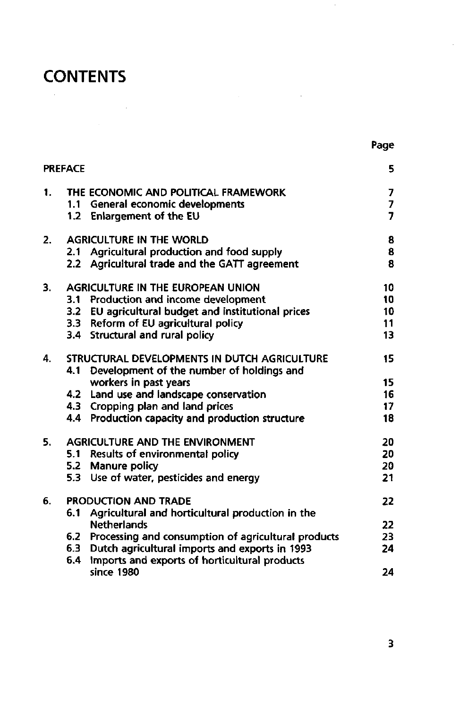# **CONTENTS**

| . .<br>۰. |
|-----------|
|-----------|

 $\cdot$ 

 $\label{eq:2.1} \frac{1}{\sqrt{2\pi}}\int_{\mathbb{R}^3}\frac{1}{\sqrt{2\pi}}\int_{\mathbb{R}^3}\frac{1}{\sqrt{2\pi}}\int_{\mathbb{R}^3}\frac{1}{\sqrt{2\pi}}\int_{\mathbb{R}^3}\frac{1}{\sqrt{2\pi}}\int_{\mathbb{R}^3}\frac{1}{\sqrt{2\pi}}\int_{\mathbb{R}^3}\frac{1}{\sqrt{2\pi}}\int_{\mathbb{R}^3}\frac{1}{\sqrt{2\pi}}\int_{\mathbb{R}^3}\frac{1}{\sqrt{2\pi}}\int_{\mathbb{R}^3}\frac{1$ 

|    | <b>PREFACE</b> |                                                         | 5               |
|----|----------------|---------------------------------------------------------|-----------------|
| 1. |                | THE ECONOMIC AND POLITICAL FRAMEWORK                    | 7               |
|    |                | 1.1 General economic developments                       | $\overline{I}$  |
|    |                | 1.2 Enlargement of the EU                               | $\overline{7}$  |
| 2. |                | <b>AGRICULTURE IN THE WORLD</b>                         | 8               |
|    | 2.1            | Agricultural production and food supply                 | 8               |
|    |                | 2.2 Agricultural trade and the GATT agreement           | 8               |
| 3. |                | <b>AGRICULTURE IN THE EUROPEAN UNION</b>                | 10              |
|    | $3.1 -$        | Production and income development                       | 10              |
|    |                | 3.2 EU agricultural budget and institutional prices     | 10              |
|    |                | 3.3 Reform of EU agricultural policy                    | 11              |
|    |                | 3.4 Structural and rural policy                         | 13              |
| 4. |                | STRUCTURAL DEVELOPMENTS IN DUTCH AGRICULTURE            | 15              |
|    | 4.1            | Development of the number of holdings and               |                 |
|    |                | workers in past years                                   | 15              |
|    |                | 4.2 Land use and landscape conservation                 | 16              |
|    |                | 4.3 Cropping plan and land prices                       | 17 <sub>2</sub> |
|    |                | 4.4 Production capacity and production structure        | 18              |
| 5. |                | <b>AGRICULTURE AND THE ENVIRONMENT</b>                  | 20              |
|    |                | 5.1 Results of environmental policy                     | 20              |
|    |                | 5.2 Manure policy                                       | 20              |
|    |                | 5.3 Use of water, pesticides and energy                 | 21              |
| 6. |                | <b>PRODUCTION AND TRADE</b>                             | 22              |
|    | 6.1            | Agricultural and horticultural production in the        |                 |
|    |                | <b>Netherlands</b>                                      | 22              |
|    |                | 6.2 Processing and consumption of agricultural products | 23              |
|    | 6.3            | Dutch agricultural imports and exports in 1993          | 24              |
|    | 6.4            | Imports and exports of horticultural products           |                 |
|    |                | since 1980                                              | 24              |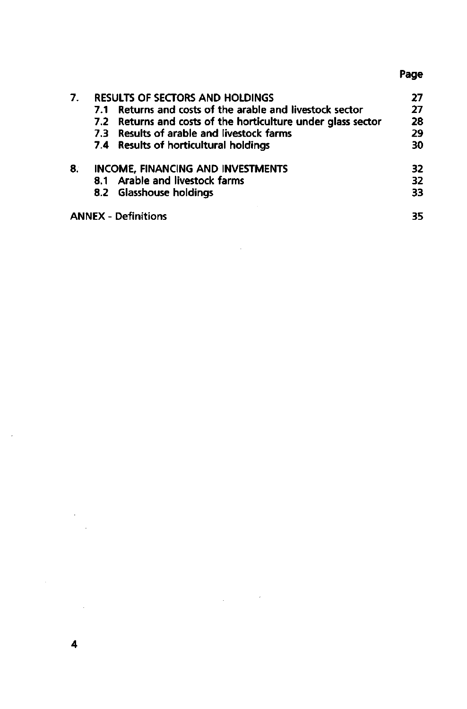### **Page**

| 7. |     | <b>RESULTS OF SECTORS AND HOLDINGS</b>                       |     |
|----|-----|--------------------------------------------------------------|-----|
|    | 7.1 | Returns and costs of the arable and livestock sector         | 27  |
|    |     | 7.2 Returns and costs of the horticulture under glass sector | 28  |
|    |     | 7.3 Results of arable and livestock farms                    | 29  |
|    |     | 7.4 Results of horticultural holdings                        | 30  |
| 8. |     | <b>INCOME, FINANCING AND INVESTMENTS</b>                     | 32. |
|    |     | 8.1 Arable and livestock farms                               | 32  |
|    |     | 8.2 Glasshouse holdings                                      | 33  |
|    |     | <b>ANNEX - Definitions</b>                                   | 35  |

 $\label{eq:2.1} \frac{1}{\sqrt{2\pi}}\int_{0}^{\infty}\frac{1}{\sqrt{2\pi}}\left(\frac{1}{\sqrt{2\pi}}\right)^{2\alpha} \frac{1}{\sqrt{2\pi}}\int_{0}^{\infty}\frac{1}{\sqrt{2\pi}}\left(\frac{1}{\sqrt{2\pi}}\right)^{\alpha} \frac{1}{\sqrt{2\pi}}\frac{1}{\sqrt{2\pi}}\frac{1}{\sqrt{2\pi}}\frac{1}{\sqrt{2\pi}}\frac{1}{\sqrt{2\pi}}\frac{1}{\sqrt{2\pi}}\frac{1}{\sqrt{2\pi}}\frac{1}{\sqrt{2\pi}}\frac{1}{\sqrt$ 

 $\mathcal{L}^{\text{max}}_{\text{max}}$  and  $\mathcal{L}^{\text{max}}_{\text{max}}$ 

 $\label{eq:2.1} \frac{1}{\sqrt{2}}\int_{\mathbb{R}^3}\frac{1}{\sqrt{2}}\left(\frac{1}{\sqrt{2}}\right)^2\left(\frac{1}{\sqrt{2}}\right)^2\left(\frac{1}{\sqrt{2}}\right)^2\left(\frac{1}{\sqrt{2}}\right)^2.$ 

 $\sim 10^{11}$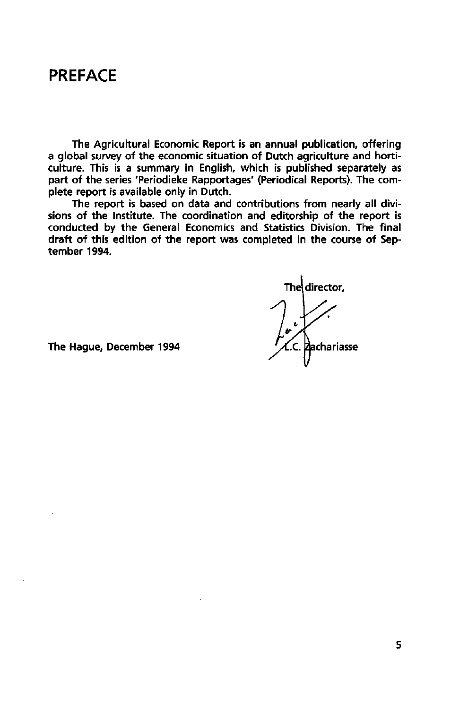### **PREFACE**

The Agricultural Economic Report is an annual publication, offering a global survey of the economic situation of Dutch agriculture and horticulture. This is a summary in English, which is published separately as part of the series 'Periodieke Rapportages' (Periodical Reports). The complete report is available only in Dutch.

The report is based on data and contributions from nearly all divisions of the Institute. The coordination and editorship of the report is conducted by the General Economics and Statistics Division. The final draft of this edition of the report was completed in the course of September 1994.

The director,

The Hague, December 1994  $\mathcal{A}$ .C. Pachariasse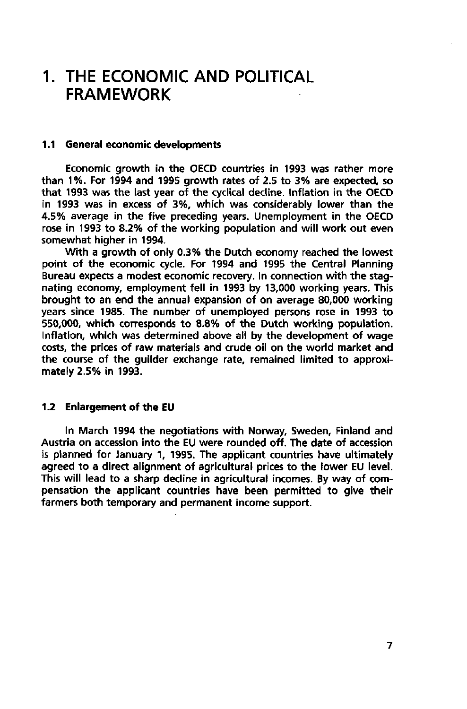## **1. THE ECONOMIC AND POLITICAL FRAMEWORK**

#### **1.1 General economic developments**

Economic growth in the OECD countries in 1993 was rather more than 1%. For 1994 and 1995 growth rates of 2.5 to 3% are expected, so that 1993 was the last year of the cyclical decline. Inflation in the OECD in 1993 was in excess of 3%, which was considerably lower than the 4.5% average in the five preceding years. Unemployment in the OECD rose in 1993 to 8.2% of the working population and will work out even somewhat higher in 1994.

With a growth of only 0.3% the Dutch economy reached the lowest point of the economic cycle. For 1994 and 1995 the Central Planning Bureau expects a modest economic recovery. In connection with the stagnating economy, employment fell in 1993 by 13,000 working years. This brought to an end the annual expansion of on average 80,000 working years since 1985. The number of unemployed persons rose in 1993 to 550,000, which corresponds to 8.8% of the Dutch working population. Inflation, which was determined above all by the development of wage costs, the prices of raw materials and crude oil on the world market and the course of the guilder exchange rate, remained limited to approximately 2.5% in 1993.

### **1.2 Enlargement of the EU**

In March 1994 the negotiations with Norway, Sweden, Finland and Austria on accession into the EU were rounded off. The date of accession is planned for January 1, 1995. The applicant countries have ultimately agreed to a direct alignment of agricultural prices to the lower EU level. This will lead to a sharp decline in agricultural incomes. By way of compensation the applicant countries have been permitted to give their farmers both temporary and permanent income support.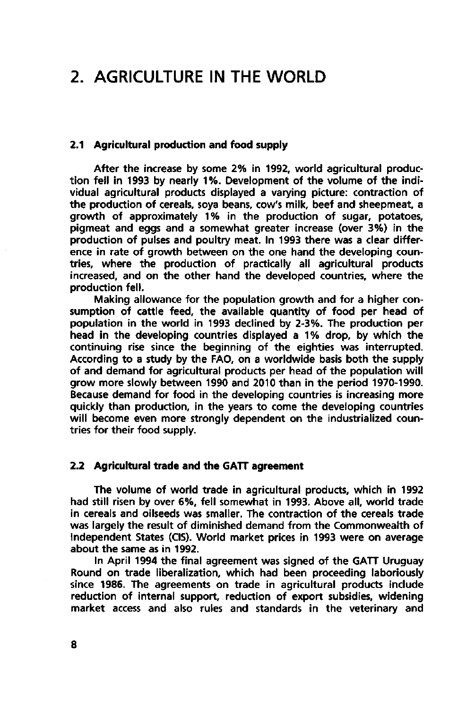## **2. AGRICULTURE IN THE WORLD**

### **2.1 Agricultural production and food supply**

After the increase by some 2% in 1992, world agricultural production fell in 1993 by nearly 1%. Development of the volume of the individual agricultural products displayed a varying picture: contraction of the production of cereals, soya beans, cow's milk, beef and sheepmeat, a growth of approximately 1% in the production of sugar, potatoes, pigmeat and eggs and a somewhat greater increase (over 3%) in the production of pulses and poultry meat. In 1993 there was a clear difference in rate of growth between on the one hand the developing countries, where the production of practically all agricultural products increased, and on the other hand the developed countries, where the production fell.

Making allowance for the population growth and for a higher consumption of cattle feed, the available quantity of food per head of population in the world in 1993 declined by 2-3%. The production per head in the developing countries displayed a 1% drop, by which the continuing rise since the beginning of the eighties was interrupted. According to a study by the FAO, on a worldwide basis both the supply of and demand for agricultural products per head of the population will grow more slowly between 1990 and 2010 than in the period 1970-1990. Because demand for food in the developing countries is increasing more quickly than production, in the years to come the developing countries will become even more strongly dependent on the industrialized countries for their food supply.

### **2.2 Agricultural trade and the GATT agreement**

The volume of world trade in agricultural products, which in 1992 had still risen by over 6%, fell somewhat in 1993. Above all, world trade in cereals and oilseeds was smaller. The contraction of the cereals trade was largely the result of diminished demand from the Commonwealth of Independent States (CIS). World market prices in 1993 were on average about the same as in 1992.

In April 1994 the final agreement was signed of the GATT Uruguay Round on trade liberalization, which had been proceeding laboriously since 1986. The agreements on trade in agricultural products include reduction of internal support, reduction of export subsidies, widening market access and also rules and standards in the veterinary and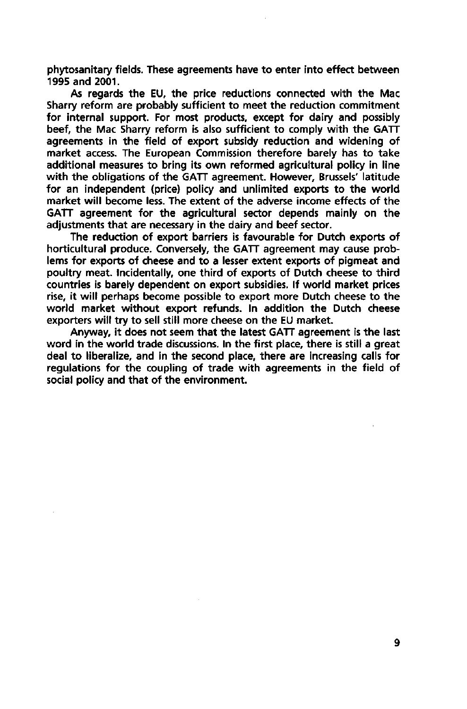phytosanitary fields. These agreements have to enter into effect between 1995 and 2001.

As regards the EU, the price reductions connected with the Mac Sharry reform are probably sufficient to meet the reduction commitment for internal support. For most products, except for dairy and possibly beef, the Mac Sharry reform is also sufficient to comply with the  $GATT$ agreements in the field of export subsidy reduction and widening of market access. The European Commission therefore barely has to take additional measures to bring its own reformed agricultural policy in line with the obligations of the GATT agreement. However, Brussels' latitude for an independent (price) policy and unlimited exports to the world market will become less. The extent of the adverse income effects of the GATT agreement for the agricultural sector depends mainly on the adjustments that are necessary in the dairy and beef sector.

The reduction of export barriers is favourable for Dutch exports of horticultural produce. Conversely, the GATT agreement may cause problems for exports of cheese and to a lesser extent exports of pigmeat and poultry meat. Incidentally, one third of exports of Dutch cheese to third countries is barely dependent on export subsidies. If world market prices rise, it will perhaps become possible to export more Dutch cheese to the world market without export refunds. In addition the Dutch cheese exporters will try to sell still more cheese on the EU market.

Anyway, it does not seem that the latest GATT agreement is the last word in the world trade discussions. In the first place, there is still a great deal to liberalize, and in the second place, there are increasing calls for regulations for the coupling of trade with agreements in the field of social policy and that of the environment.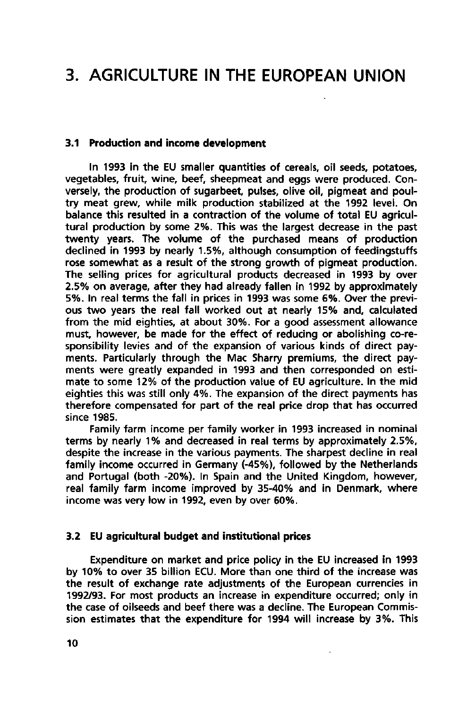## **3. AGRICULTURE IN THE EUROPEAN UNION**

### **3.1 Production and income development**

In 1993 in the EU smaller quantities of cereals, oil seeds, potatoes, vegetables, fruit, wine, beef, sheepmeat and eggs were produced. Conversely, the production of sugarbeet, pulses, olive oil, pigmeat and poultry meat grew, while milk production stabilized at the 1992 level. On balance this resulted in a contraction of the volume of total EU agricultural production by some 2%. This was the largest decrease in the past twenty years. The volume of the purchased means of production declined in 1993 by nearly 1.5%, although consumption of feedingstuffs rose somewhat as a result of the strong growth of pigmeat production. The selling prices for agricultural products decreased in 1993 by over 2.5% on average, after they had already fallen in 1992 by approximately 5%. In real terms the fall in prices in 1993 was some 6%. Over the previous two years the real fall worked out at nearly 15% and, calculated from the mid eighties, at about 30%. For a good assessment allowance must, however, be made for the effect of reducing or abolishing co-responsibility levies and of the expansion of various kinds of direct payments. Particularly through the Mac Sharry premiums, the direct payments were greatly expanded in 1993 and then corresponded on estimate to some 12% of the production value of EU agriculture. In the mid eighties this was still only 4%. The expansion of the direct payments has therefore compensated for part of the real price drop that has occurred since 1985.

Family farm income per family worker in 1993 increased in nominal terms by nearly 1% and decreased in real terms by approximately 2.5%, despite the increase in the various payments. The sharpest decline in real family income occurred in Germany (-45%), followed by the Netherlands and Portugal (both -20%). In Spain and the United Kingdom, however, real family farm income improved by 35-40% and in Denmark, where income was very low in 1992, even by over 60%.

#### **3.2 EU agricultural budget and institutional prices**

Expenditure on market and price policy in the EU increased in 1993 by 10% to over 35 billion ECU. More than one third of the increase was the result of exchange rate adjustments of the European currencies in 1992/93. For most products an increase in expenditure occurred; only in the case of oilseeds and beef there was a decline. The European Commission estimates that the expenditure for 1994 will increase by 3%. This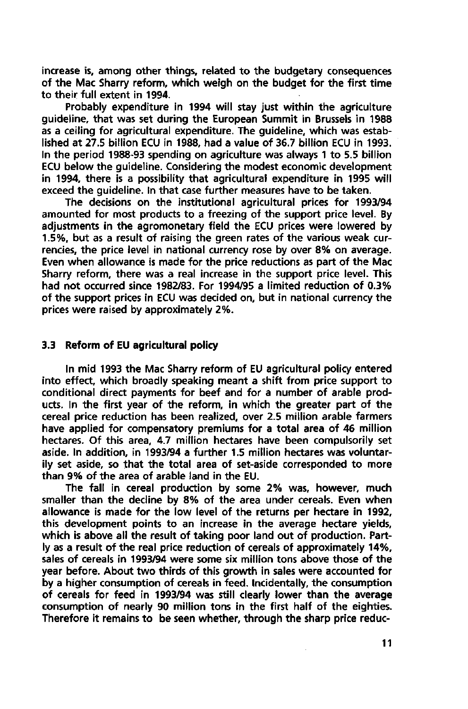increase is, among other things, related to the budgetary consequences of the Mac Sharry reform, which weigh on the budget for the first time to their full extent in 1994.

Probably expenditure in 1994 will stay just within the agriculture guideline, that was set during the European Summit in Brussels in 1988 as a ceiling for agricultural expenditure. The guideline, which was established at 27.5 billion ECU in 1988, had a value of 36.7 billion ECU in 1993. In the period 1988-93 spending on agriculture was always 1 to 5.5 billion ECU below the guideline. Considering the modest economic development in 1994, there is a possibility that agricultural expenditure in 1995 will exceed the guideline. In that case further measures have to be taken.

The decisions on the institutional agricultural prices for 1993/94 amounted for most products to a freezing of the support price level. By adjustments in the agromonetary field the ECU prices were lowered by 1.5%, but as a result of raising the green rates of the various weak currencies, the price level in national currency rose by over 8% on average. Even when allowance is made for the price reductions as part of the Mac Sharry reform, there was a real increase in the support price level. This had not occurred since 1982/83. For 1994/95 a limited reduction of 0.3% of the support prices in ECU was decided on, but in national currency the prices were raised by approximately 2%.

### **3.3 Reform of EU agricultural policy**

In mid 1993 the Mac Sharry reform of EU agricultural policy entered into effect, which broadly speaking meant a shift from price support to conditional direct payments for beef and for a number of arable products. In the first year of the reform, in which the greater part of the cereal price reduction has been realized, over 2.5 million arable farmers have applied for compensatory premiums for a total area of 46 million hectares. Of this area, 4.7 million hectares have been compulsorily set aside. In addition, in 1993/94 a further 1.5 million hectares was voluntarily set aside, so that the total area of set-aside corresponded to more than 9% of the area of arable land in the EU.

The fall in cereal production by some 2% was, however, much smaller than the decline by 8% of the area under cereals. Even when allowance is made for the low level of the returns per hectare in **1992,**  this development points to an increase in the average hectare yields, which is above all the result of taking poor land out of production. Partly as a result of the real price reduction of cereals of approximately 14%, sales of cereals in 1993/94 were some six million tons above those of the year before. About two thirds of this growth in sales were accounted for by a higher consumption of cereals in feed. Incidentally, the consumption of cereals for feed in 1993/94 was still clearly lower than the average consumption of nearly 90 million tons in the first half of the eighties. Therefore it remains to be seen whether, through the sharp price reduc-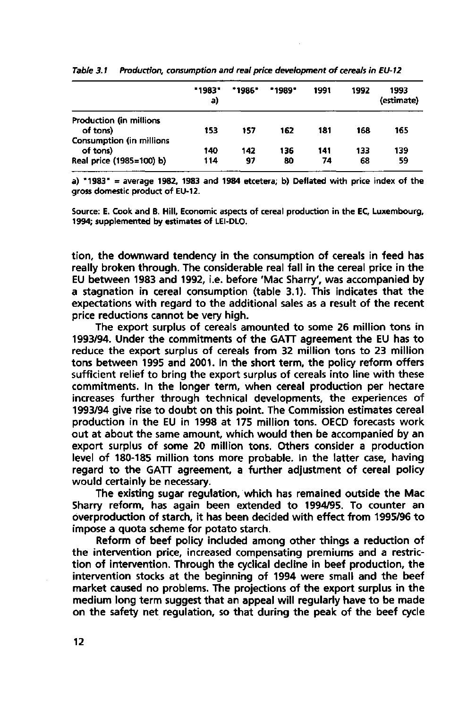|                                 | "1983"<br>a) | *1986* | <b>•1989</b> | 1991 | 1992 | 1993<br>(estimate) |
|---------------------------------|--------------|--------|--------------|------|------|--------------------|
| Production (in millions         |              |        |              |      |      |                    |
| of tons)                        | 153          | 157    | 162          | 181  | 168  | 165                |
| <b>Consumption (in millions</b> |              |        |              |      |      |                    |
| of tons)                        | 140          | 142    | 136          | 141  | 133  | 139                |
| Real price (1985=100) b)        | 114          | 97     | 80           | 74   | 68   | 59                 |

**Table 3.1 Production, consumption and real price development of cereals in EU-12** 

**a) "1983" = average 1982, 1983 and 1984 etcetera; b) Deflated with price index of the gross domestic product of EU-12.** 

**Source: E. Cook and B. Hill, Economic aspects of cereal production in the EC, Luxembourg, 1994; supplemented by estimates of LEI-DLO.** 

tion, the downward tendency in the consumption of cereals in feed has really broken through. The considerable real fall in the cereal price in the EU between 1983 and 1992, i.e. before 'Mac Sharry', was accompanied by a stagnation in cereal consumption (table 3.1). This indicates that the expectations with regard to the additional sales as a result of the recent price reductions cannot be very high.

The export surplus of cereals amounted to some 26 million tons in 1993/94. Under the commitments of the GATT agreement the EU has to reduce the export surplus of cereals from 32 million tons to 23 million tons between 1995 and 2001. In the short term, the policy reform offers sufficient relief to bring the export surplus of cereals into line with these commitments. In the longer term, when cereal production per hectare increases further through technical developments, the experiences of 1993/94 give rise to doubt on this point. The Commission estimates cereal production in the EU in 1998 at 175 million tons. OECD forecasts work out at about the same amount, which would then be accompanied by an export surplus of some 20 million tons. Others consider a production level of 180-185 million tons more probable. In the latter case, having regard to the GATT agreement, a further adjustment of cereal policy would certainly be necessary.

The existing sugar regulation, which has remained outside the Mac Sharry reform, has again been extended to 1994/95. To counter an overproduction of starch, it has been decided with effect from 1995/96 to impose a quota scheme for potato starch.

Reform of beef policy included among other things a reduction of the intervention price, increased compensating premiums and a restriction of intervention. Through the cyclical decline in beef production, the intervention stocks at the beginning of 1994 were small and the beef market caused no problems. The projections of the export surplus in the medium long term suggest that an appeal will regularly have to be made on the safety net regulation, so that during the peak of the beef cycle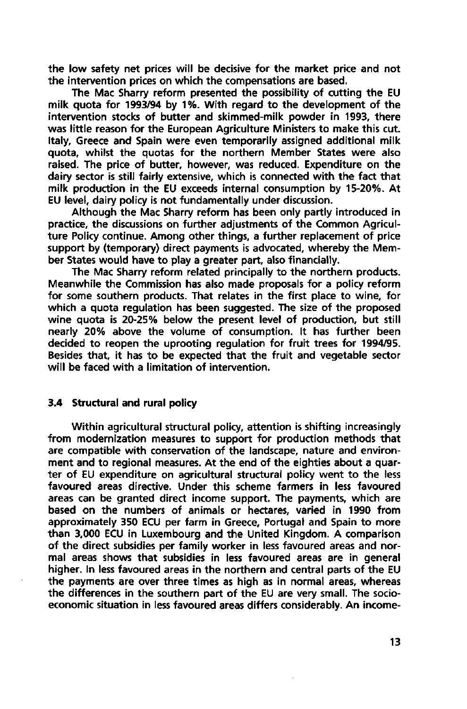the low safety net prices will be decisive for the market price and not the intervention prices on which the compensations are based.

The Mac Sharry reform presented the possibility of cutting the EU milk quota for 1993/94 by 1%. With regard to the development of the intervention stocks of butter and skimmed-milk powder in 1993, there was little reason for the European Agriculture Ministers to make this cut. Italy, Greece and Spain were even temporarily assigned additional milk quota, whilst the quotas for the northern Member States were also raised. The price of butter, however, was reduced. Expenditure on the dairy sector is still fairly extensive, which is connected with the fact that milk production in the EU exceeds internal consumption by 15-20%. At EU level, dairy policy is not fundamentally under discussion.

Although the Mac Sharry reform has been only partly introduced in practice, the discussions on further adjustments of the Common Agriculture Policy continue. Among other things, a further replacement of price support by (temporary) direct payments is advocated, whereby the Member States would have to play a greater part, also financially.

The Mac Sharry reform related principally to the northern products. Meanwhile the Commission has also made proposals for a policy reform for some southern products. That relates in the first place to wine, for which a quota regulation has been suggested. The size of the proposed wine quota is 20-25% below the present level of production, but still nearly 20% above the volume of consumption. It has further been decided to reopen the uprooting regulation for fruit trees for 1994/95. Besides that, it has to be expected that the fruit and vegetable sector will be faced with a limitation of intervention.

### **3.4 Structural and rural policy**

Within agricultural structural policy, attention is shifting increasingly from modernization measures to support for production methods that are compatible with conservation of the landscape, nature and environment and to regional measures. At the end of the eighties about a quarter of EU expenditure on agricultural structural policy went to the less favoured areas directive. Under this scheme farmers in less favoured areas can be granted direct income support. The payments, which are based on the numbers of animals or hectares, varied in 1990 from approximately 350 ECU per farm in Greece, Portugal and Spain to more than 3,000 ECU in Luxembourg and the United Kingdom. A comparison of the direct subsidies per family worker in less favoured areas and normal areas shows that subsidies in less favoured areas are in general higher. In less favoured areas in the northern and central parts of the EU the payments are over three times as high as in normal areas, whereas the differences in the southern part of the EU are very small. The socioeconomic situation in less favoured areas differs considerably. An income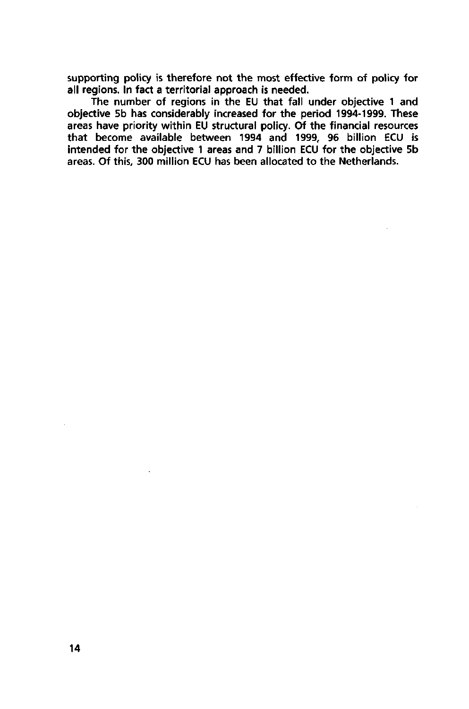supporting policy is therefore not the most effective form of policy for all regions. In fact a territorial approach is needed.

The number of regions in the EU that fall under objective 1 and objective 5b has considerably increased for the period 1994-1999. These areas have priority within EU structural policy. Of the financial resources that become available between 1994 and 1999, 96 billion ECU is intended for the objective 1 areas and 7 billion ECU for the objective 5b areas. Of this, 300 million ECU has been allocated to the Netherlands.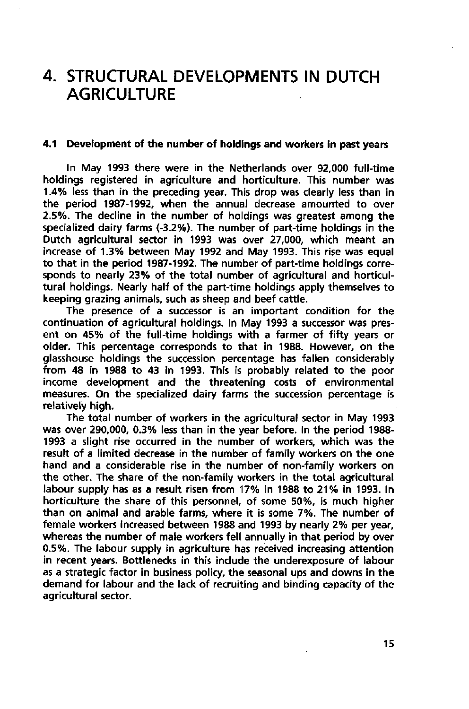## **STRUCTURAL DEVELOPMENTS IN DUTCH AGRICULTURE**

### **4.1 Development of the number of holdings and workers in past years**

In May 1993 there were in the Netherlands over 92,000 full-time holdings registered in agriculture and horticulture. This number was 1.4% less than in the preceding year. This drop was clearly less than in the period 1987-1992, when the annual decrease amounted to over 2.5%. The decline in the number of holdings was greatest among the specialized dairy farms (-3.2%). The number of part-time holdings in the Dutch agricultural sector in 1993 was over 27,000, which meant an increase of 1.3% between May 1992 and May 1993. This rise was equal to that in the period 1987-1992. The number of part-time holdings corresponds to nearly 23% of the total number of agricultural and horticultural holdings. Nearly half of the part-time holdings apply themselves to keeping grazing animals, such as sheep and beef cattle.

The presence of a successor is an important condition for the continuation of agricultural holdings. In May 1993 a successor was present on 45% of the full-time holdings with a farmer of fifty years or older. This percentage corresponds to that in 1988. However, on the glasshouse holdings the succession percentage has fallen considerably from 48 in 1988 to 43 in 1993. This is probably related to the poor income development and the threatening costs of environmental measures. On the specialized dairy farms the succession percentage is relatively high.

The total number of workers in the agricultural sector in May 1993 was over 290,000, 0.3% less than in the year before. In the period 1988- 1993 a slight rise occurred in the number of workers, which was the result of a limited decrease in the number of family workers on the one hand and a considerable rise in the number of non-family workers on the other. The share of the non-family workers in the total agricultural labour supply has as a result risen from 17% in 1988 to 21% in 1993. In horticulture the share of this personnel, of some 50%, is much higher than on animal and arable farms, where it is some 7%. The number of female workers increased between 1988 and 1993 by nearly 2% per year, whereas the number of male workers fell annually in that period by over 0.5%. The labour supply in agriculture has received increasing attention in recent years. Bottlenecks in this include the underexposure of labour as a strategic factor in business policy, the seasonal ups and downs in the demand for labour and the lack of recruiting and binding capacity of the agricultural sector.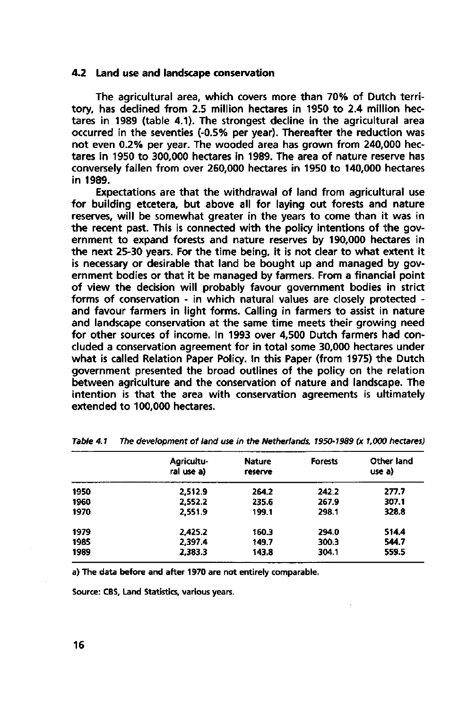#### 4.2 **Land** use **and landscape conservation**

The agricultural area, which covers more than 70% of Dutch territory, has declined from 2.5 million hectares in 1950 to 2.4 million hectares in 1989 (table 4.1). The strongest decline in the agricultural area occurred in the seventies (-0.5% per year). Thereafter the reduction was not even 0.2% per year. The wooded area has grown from 240,000 hectares in 1950 to 300,000 hectares in 1989. The area of nature reserve has conversely fallen from over 260,000 hectares in 1950 to 140,000 hectares in 1989.

Expectations are that the withdrawal of land from agricultural use for building etcetera, but above all for laying out forests and nature reserves, will be somewhat greater in the years to come than it was in the recent past. This is connected with the policy intentions of the government to expand forests and nature reserves by 190,000 hectares in the next 25-30 years. For the time being, it is not clear to what extent it is necessary or desirable that land be bought up and managed by government bodies or that it be managed by farmers. From a financial point of view the decision will probably favour government bodies in strict forms of conservation - in which natural values are closely protected and favour farmers in light forms. Calling in farmers to assist in nature and landscape conservation at the same time meets their growing need for other sources of income. In 1993 over 4,500 Dutch farmers had concluded a conservation agreement for in total some 30,000 hectares under what is called Relation Paper Policy. In this Paper (from 1975) the Dutch government presented the broad outlines of the policy on the relation between agriculture and the conservation of nature and landscape. The intention is that the area with conservation agreements is ultimately extended to 100,000 hectares.

| Agricultu-<br>ral use a) | <b>Nature</b><br>reserve | <b>Forests</b> | Other land<br>use a) |
|--------------------------|--------------------------|----------------|----------------------|
| 2.512.9                  | 264.2                    | 242.2          | 277.7                |
| 2.552.2                  | 235.6                    | 267.9          | 307.1                |
| 2.551.9                  | 199.1                    | 298.1          | 328.8                |
| 2.425.2                  | 160.3                    | 294.0          | 514.4                |
| 2.397.4                  | 149.7                    | 300.3          | 544.7                |
| 2.383.3                  | 143.8                    | 304.1          | 559.5                |
|                          |                          |                |                      |

**Table 4.1 The development of land use in the Netherlands, 1950-1989 (x 1,000 hectares)** 

**a) The data before and after 1970 are not entirely comparable.** 

**Source: CBS, Land Statistics, various years.**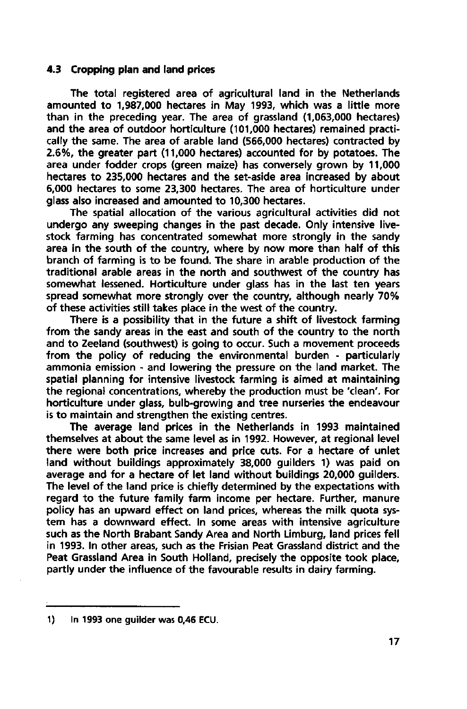### **4.3 Cropping plan and land prices**

The total registered area of agricultural land in the Netherlands amounted to 1,987,000 hectares in May 1993, which was a little more than in the preceding year. The area of grassland (1,063,000 hectares) and the area of outdoor horticulture (101,000 hectares) remained practically the same. The area of arable land (566,000 hectares) contracted by 2.6%, the greater part (11,000 hectares) accounted for by potatoes. The area under fodder crops (green maize) has conversely grown by 11,000 hectares to 235,000 hectares and the set-aside area increased by about 6,000 hectares to some 23,300 hectares. The area of horticulture under glass also increased and amounted to 10,300 hectares.

The spatial allocation of the various agricultural activities did not undergo any sweeping changes in the past decade. Only intensive livestock farming has concentrated somewhat more strongly in the sandy area in the south of the country, where by now more than half of this branch of farming is to be found. The share in arable production of the traditional arable areas in the north and southwest of the country has somewhat lessened. Horticulture under glass has in the last ten years spread somewhat more strongly over the country, although nearly 70% of these activities still takes place in the west of the country.

There is a possibility that in the future a shift of livestock farming from the sandy areas in the east and south of the country to the north and to Zeeland (southwest) is going to occur. Such a movement proceeds from the policy of reducing the environmental burden - particularly ammonia emission - and lowering the pressure on the land market. The spatial planning for intensive livestock farming is aimed at maintaining the regional concentrations, whereby the production must be 'clean'. For horticulture under glass, bulb-growing and tree nurseries the endeavour is to maintain and strengthen the existing centres.

The average land prices in the Netherlands in 1993 maintained themselves at about the same level as in 1992. However, at regional level there were both price increases and price cuts. For a hectare of unlet land without buildings approximately 38,000 guilders 1) was paid on average and for a hectare of let land without buildings 20,000 guilders. The level of the land price is chiefly determined by the expectations with regard to the future family farm income per hectare. Further, manure policy has an upward effect on land prices, whereas the milk quota system has a downward effect. In some areas with intensive agriculture such as the North Brabant Sandy Area and North Limburg, land prices fell in 1993. In other areas, such as the Frisian Peat Grassland district and the Peat Grassland Area in South Holland, precisely the opposite took place, partly under the influence of the favourable results in dairy farming.

<sup>1)</sup> In 1993 one guilder was 0,46 ECU.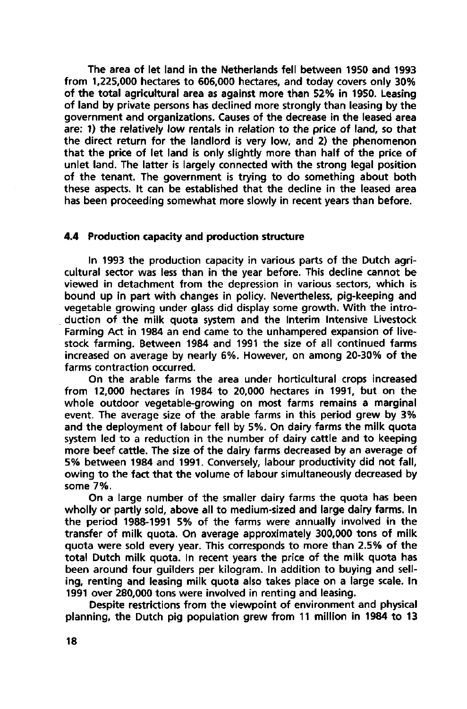The area of let land in the Netherlands fell between 1950 and 1993 from 1,225,000 hectares to 606,000 hectares, and today covers only 30% of the total agricultural area as against more than 52% in 1950. Leasing of land by private persons has declined more strongly than leasing by the government and organizations. Causes of the decrease in the leased area are: 1) the relatively low rentals in relation to the price of land, so that the direct return for the landlord is very low, and 2) the phenomenon that the price of let land is only slightly more than half of the price of unlet land. The latter is largely connected with the strong legal position of the tenant. The government is trying to do something about both these aspects. It can be established that the decline in the leased area has been proceeding somewhat more slowly in recent years than before.

### **4.4 Production capacity and production structure**

In 1993 the production capacity in various parts of the Dutch agricultural sector was less than in the year before. This decline cannot be viewed in detachment from the depression in various sectors, which is bound up in part with changes in policy. Nevertheless, pig-keeping and vegetable growing under glass did display some growth. With the introduction of the milk quota system and the Interim Intensive Livestock Farming Act in 1984 an end came to the unhampered expansion of livestock farming. Between 1984 and 1991 the size of all continued farms increased on average by nearly 6%. However, on among 20-30% of the farms contraction occurred.

On the arable farms the area under horticultural crops increased from 12,000 hectares in 1984 to 20,000 hectares in 1991, but on the whole outdoor vegetable-growing on most farms remains a marginal event. The average size of the arable farms in this period grew by 3% and the deployment of labour fell by 5%. On dairy farms the milk quota system led to a reduction in the number of dairy cattle and to keeping more beef cattle. The size of the dairy farms decreased by an average of 5% between 1984 and 1991. Conversely, labour productivity did not fall, owing to the fact that the volume of labour simultaneously decreased by some 7%.

On a large number of the smaller dairy farms the quota has been wholly or partly sold, above all to medium-sized and large dairy farms. In the period 1988-1991 5% of the farms were annually involved in the transfer of milk quota. On average approximately 300,000 tons of milk quota were sold every year. This corresponds to more than 2.5% of the total Dutch milk quota. In recent years the price of the milk quota has been around four guilders per kilogram. In addition to buying and selling, renting and leasing milk quota also takes place on a large scale. In 1991 over 280,000 tons were involved in renting and leasing.

Despite restrictions from the viewpoint of environment and physical planning, the Dutch pig population grew from 11 million in 1984 to 13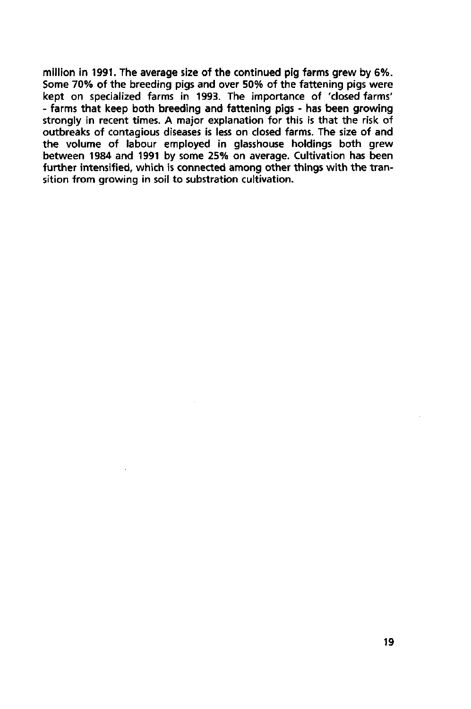million in 1991. The average size of the continued pig farms grew by 6%. Some 70% of the breeding pigs and over 50% of the fattening pigs were kept on specialized farms in 1993. The importance of 'closed farms' - farms that keep both breeding and fattening pigs - has been growing strongly in recent times. A major explanation for this is that the risk of outbreaks of contagious diseases is less on closed farms. The size of and the volume of labour employed in glasshouse holdings both grew between 1984 and 1991 by some 25% on average. Cultivation has been further intensified, which is connected among other things with the transition from growing in soil to substration cultivation.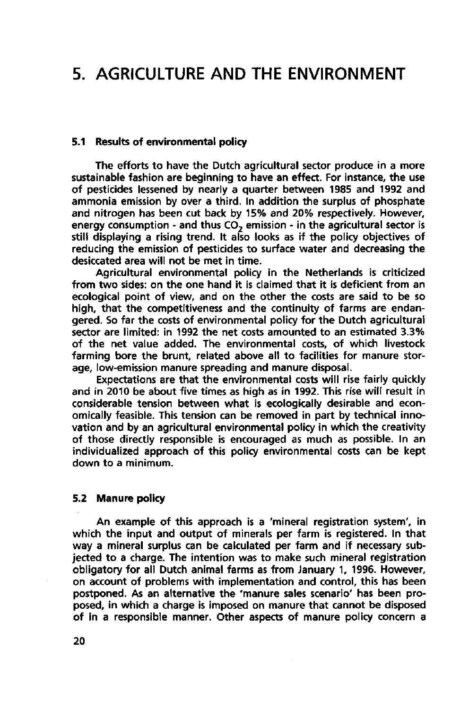## **5. AGRICULTURE AND THE ENVIRONMENT**

### **5.1 Results of environmental policy**

The efforts to have the Dutch agricultural sector produce in a more sustainable fashion are beginning to have an effect. For instance, the use of pesticides lessened by nearly a quarter between 1985 and 1992 and ammonia emission by over a third. In addition the surplus of phosphate and nitrogen has been cut back by 15% and 20% respectively. However, energy consumption - and thus  $CO<sub>2</sub>$  emission - in the agricultural sector is still displaying a rising trend. It also looks as if the policy objectives of reducing the emission of pesticides to surface water and decreasing the desiccated area will not be met in time.

Agricultural environmental policy in the Netherlands is criticized from two sides: on the one hand it is claimed that it is deficient from an ecological point of view, and on the other the costs are said to be so high, that the competitiveness and the continuity of farms are endangered. So far the costs of environmental policy for the Dutch agricultural sector are limited: in 1992 the net costs amounted to an estimated 3.3% of the net value added. The environmental costs, of which livestock farming bore the brunt, related above all to facilities for manure storage, low-emission manure spreading and manure disposal.

Expectations are that the environmental costs will rise fairly quickly and in 2010 be about five times as high as in 1992. This rise will result in considerable tension between what is ecologically desirable and economically feasible. This tension can be removed in part by technical innovation and by an agricultural environmental policy in which the creativity of those directly responsible is encouraged as much as possible. In an individualized approach of this policy environmental costs can be kept down to a minimum.

#### **5.2 Manure policy**

An example of this approach is a 'mineral registration system', in which the input and output of minerals per farm is registered. In that way a mineral surplus can be calculated per farm and if necessary subjected to a charge. The intention was to make such mineral registration obligatory for all Dutch animal farms as from January 1, 1996. However, on account of problems with implementation and control, this has been postponed. As an alternative the 'manure sales scenario' has been proposed, in which a charge is imposed on manure that cannot be disposed of in a responsible manner. Other aspects of manure policy concern a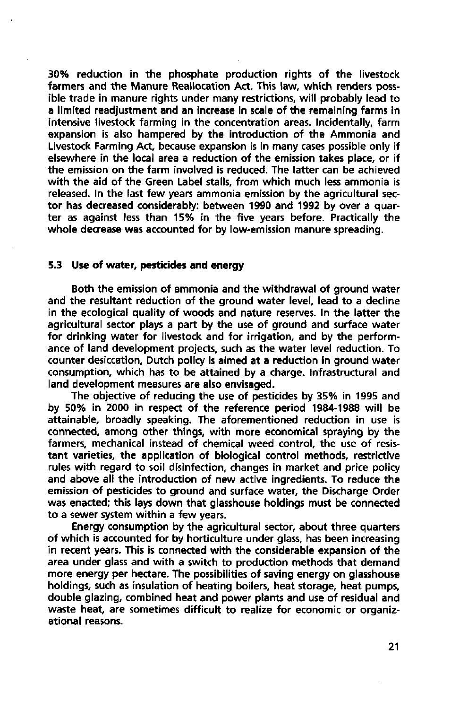30% reduction in the phosphate production rights of the livestock farmers and the Manure Reallocation Act. This law, which renders possible trade in manure rights under many restrictions, will probably lead to a limited readjustment and an increase in scale of the remaining farms in intensive livestock farming in the concentration areas. Incidentally, farm expansion is also hampered by the introduction of the Ammonia and Livestock Farming Act, because expansion is in many cases possible only if elsewhere in the local area a reduction of the emission takes place, or if the emission on the farm involved is reduced. The latter can be achieved with the aid of the Green Label stalls, from which much less ammonia is released. In the last few years ammonia emission by the agricultural sector has decreased considerably: between 1990 and 1992 by over a quarter as against less than 15% in the five years before. Practically the whole decrease was accounted for by low-emission manure spreading.

#### **5.3 Use of water, pesticides and energy**

Both the emission of ammonia and the withdrawal of ground water and the resultant reduction of the ground water level, lead to a decline in the ecological quality of woods and nature reserves. In the latter the agricultural sector plays a part by the use of ground and surface water for drinking water for livestock and for irrigation, and by the performance of land development projects, such as the water level reduction. To counter desiccation, Dutch policy is aimed at a reduction in ground water consumption, which has to be attained by a charge. Infrastructural and land development measures are also envisaged.

The objective of reducing the use of pesticides by 35% in 1995 and by 50% in 2000 in respect of the reference period 1984-1988 will be attainable, broadly speaking. The aforementioned reduction in use is connected, among other things, with more economical spraying by the farmers, mechanical instead of chemical weed control, the use of resistant varieties, the application of biological control methods, restrictive rules with regard to soil disinfection, changes in market and price policy and above all the introduction of new active ingredients. To reduce the emission of pesticides to ground and surface water, the Discharge Order was enacted; this lays down that glasshouse holdings must be connected to a sewer system within a few years.

Energy consumption by the agricultural sector, about three quarters of which is accounted for by horticulture under glass, has been increasing in recent years. This is connected with the considerable expansion of the area under glass and with a switch to production methods that demand more energy per hectare. The possibilities of saving energy on glasshouse holdings, such as insulation of heating boilers, heat storage, heat pumps, double glazing, combined heat and power plants and use of residual and waste heat, are sometimes difficult to realize for economic or organizational reasons.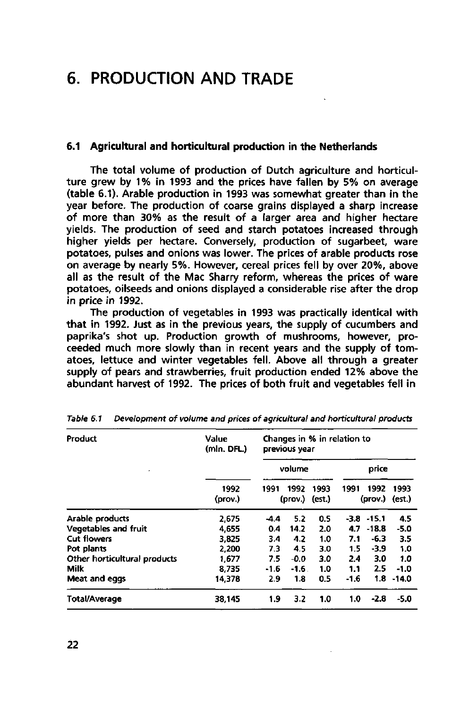## **6. PRODUCTION AND TRADE**

#### **6.1 Agricultural and horticultural production in the Netherlands**

The total volume of production of Dutch agriculture and horticulture grew by 1% in 1993 and the prices have fallen by 5% on average (table 6.1). Arable production in 1993 was somewhat greater than in the year before. The production of coarse grains displayed a sharp increase of more than 30% as the result of a larger area and higher hectare yields. The production of seed and starch potatoes increased through higher yields per hectare. Conversely, production of sugarbeet, ware potatoes, pulses and onions was lower. The prices of arable products rose on average by nearly 5%. However, cereal prices fell by over 20%, above all as the result of the Mac Sharry reform, whereas the prices of ware potatoes, oilseeds and onions displayed a considerable rise after the drop in price in 1992.

The production of vegetables in 1993 was practically identical with that in 1992. Just as in the previous years, the supply of cucumbers and paprika's shot up. Production growth of mushrooms, however, proceeded much more slowly than in recent years and the supply of tomatoes, lettuce and winter vegetables fell. Above all through a greater supply of pears and strawberries, fruit production ended 12% above the abundant harvest of 1992. The prices of both fruit and vegetables fell in

| Product                      | Value<br>(mln. DFL.) | Changes in % in relation to<br>previous year |                 |                |        |                 |                |
|------------------------------|----------------------|----------------------------------------------|-----------------|----------------|--------|-----------------|----------------|
|                              |                      | volume                                       |                 | price          |        |                 |                |
|                              | 1992<br>(prov.)      | 1991                                         | 1992<br>(prov.) | 1993<br>(est.) | 1991   | 1992<br>(prov.) | 1993<br>(est.) |
| Arable products              | 2.675                | $-4.4$                                       | 5.2             | 0.5            |        | $-3.8 - 15.1$   | 4.5            |
| Vegetables and fruit         | 4.655                | 0.4                                          | 14.2            | 2.0            | 4.7    | $-18.8$         | $-5.0$         |
| Cut flowers                  | 3.825                | 34                                           | 4.2             | 1.0            | 7.1    | $-6.3$          | 3.5            |
| Pot plants                   | 2.200                | 73                                           | 4.5             | 3.0            | 1.5    | $-3.9$          | 1.0            |
| Other horticultural products | 1.677                | 7.5                                          | $-0.0$          | 3.0            | 2.4    | 3.0             | 1.0            |
| Milk                         | 8.735                | $-1.6$                                       | -1.6.           | 1.0            | 1.1    | 2.5             | $-1.0$         |
| Meat and eggs                | 14378                | 2.9                                          | 1.8             | 0.5            | $-1.6$ |                 | $1.8 - 14.0$   |
| Total/Average                | 38.145               | 1.9                                          | 3.2             | 1.0            | 1.0    | $-2.8$          | $-5.0$         |

Table 6.1 Development of volume and prices of agricultural and horticultural products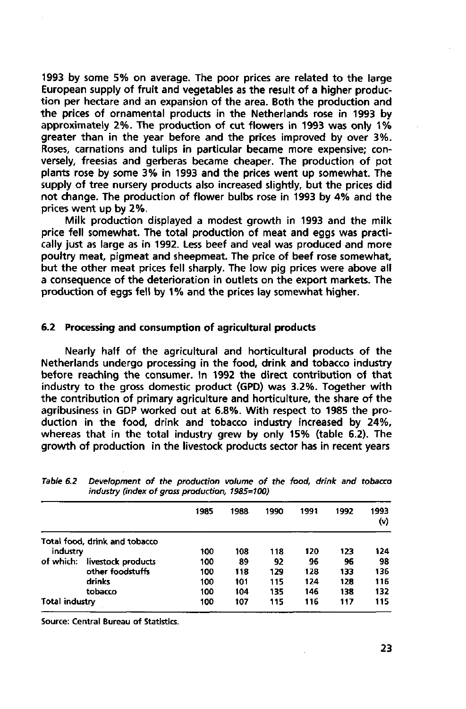1993 by some 5% on average. The poor prices are related to the large European supply of fruit and vegetables as the result of a higher production per hectare and an expansion of the area. Both the production and the prices of ornamental products in the Netherlands rose in 1993 by approximately 2%. The production of cut flowers in 1993 was only 1% greater than in the year before and the prices improved by over 3%. Roses, carnations and tulips in particular became more expensive; conversely, freesias and gerberas became cheaper. The production of pot plants rose by some 3% in 1993 and the prices went up somewhat. The supply of tree nursery products also increased slightly, but the prices did not change. The production of flower bulbs rose in 1993 by 4% and the prices went up by 2%.

Milk production displayed a modest growth in 1993 and the milk price fell somewhat. The total production of meat and eggs was practically just as large as in 1992. Less beef and veal was produced and more poultry meat, pigmeat and sheepmeat. The price of beef rose somewhat, but the other meat prices fell sharply. The low pig prices were above all a consequence of the deterioration in outlets on the export markets. The production of eggs fell by 1% and the prices lay somewhat higher.

### **6.2 Processing and consumption of agricultural products**

Nearly half of the agricultural and horticultural products of the Netherlands undergo processing in the food, drink and tobacco industry before reaching the consumer. In 1992 the direct contribution of that industry to the gross domestic product (GPD) was 3.2%. Together with the contribution of primary agriculture and horticulture, the share of the agribusiness in GDP worked out at 6.8%. With respect to 1985 the production in the food, drink and tobacco industry increased by 24%, whereas that in the total industry grew by only 15% (table 6.2). The growth of production in the livestock products sector has in recent years

|                |                               | 1985 | 1988 | 1990 | 1991 | 1992 | 1993<br>(v) |
|----------------|-------------------------------|------|------|------|------|------|-------------|
|                | Total food, drink and tobacco |      |      |      |      |      |             |
| industry       |                               | 100  | 108  | 118  | 120  | 123  | 124         |
| of which:      | livestock products            | 100  | 89   | 92   | 96   | 96   | 98          |
|                | other foodstuffs              | 100  | 118  | 129  | 128  | 133  | 136         |
|                | drinks                        | 100  | 101  | 115  | 124  | 128  | 116         |
|                | tobacco                       | 100  | 104  | 135  | 146  | 138  | 132         |
| Total industry |                               | 100  | 107  | 115  | 116  | 117  | 115         |

Table 6.2 Development of the production volume of the food, drink and tobacco industry (index of gross production, 1985=100)

Source: Central Bureau of Statistics.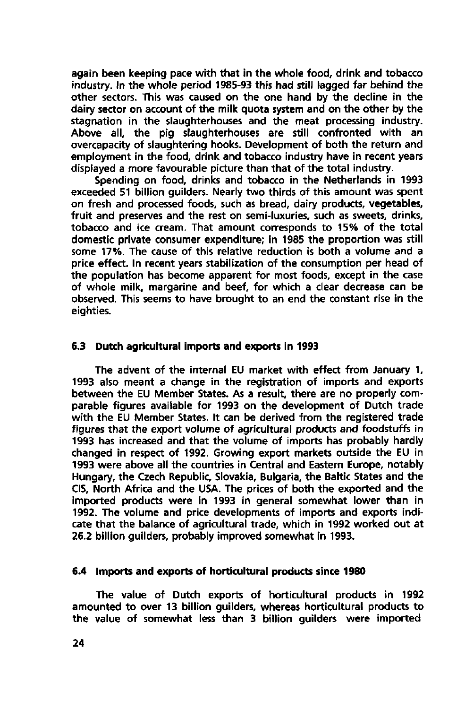again been keeping pace with that in the whole food, drink and tobacco industry. In the whole period 1985-93 this had still lagged far behind the other sectors. This was caused on the one hand by the decline in the dairy sector on account of the milk quota system and on the other by the stagnation in the slaughterhouses and the meat processing industry. Above all, the pig slaughterhouses are still confronted with an overcapacity of slaughtering hooks. Development of both the return and employment in the food, drink and tobacco industry have in recent years displayed a more favourable picture than that of the total industry.

Spending on food, drinks and tobacco in the Netherlands in 1993 exceeded 51 billion guilders. Nearly two thirds of this amount was spent on fresh and processed foods, such as bread, dairy products, vegetables, fruit and preserves and the rest on semi-luxuries, such as sweets, drinks, tobacco and ice cream. That amount corresponds to 15% of the total domestic private consumer expenditure; in 1985 the proportion was still some 17%. The cause of this relative reduction is both a volume and a price effect. In recent years stabilization of the consumption per head of the population has become apparent for most foods, except in the case of whole milk, margarine and beef, for which a clear decrease can be observed. This seems to have brought to an end the constant rise in the eighties.

### **6.3 Dutch agricultural imports and exports in 1993**

The advent of the internal EU market with effect from January 1, 1993 also meant a change in the registration of imports and exports between the EU Member States. As a result, there are no properly comparable figures available for 1993 on the development of Dutch trade with the EU Member States. It can be derived from the registered trade figures that the export volume of agricultural products and foodstuffs in 1993 has increased and that the volume of imports has probably hardly changed in respect of 1992. Growing export markets outside the EU in 1993 were above all the countries in Central and Eastern Europe, notably Hungary, the Czech Republic, Slovakia, Bulgaria, the Baltic States and the CIS, North Africa and the USA. The prices of both the exported and the imported products were in 1993 in general somewhat lower than in 1992. The volume and price developments of imports and exports indicate that the balance of agricultural trade, which in 1992 worked out at 26.2 billion guilders, probably improved somewhat in 1993.

#### **6.4 Imports and exports of horticultural products since 1980**

The value of Dutch exports of horticultural products in 1992 amounted to over 13 billion guilders, whereas horticultural products to the value of somewhat less than 3 billion guilders were imported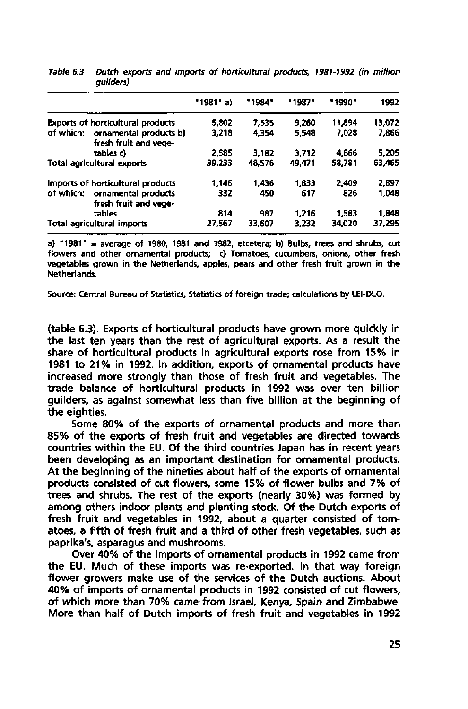|           |                                                 | 1981' a) | *1984* | "1987" | "1990" | 1992   |
|-----------|-------------------------------------------------|----------|--------|--------|--------|--------|
|           | <b>Exports of horticultural products</b>        | 5.802    | 7.535  | 9.260  | 11,894 | 13.072 |
| of which: | ornamental products b)<br>fresh fruit and vege- | 3,218    | 4.354  | 5.548  | 7.028  | 7.866  |
|           | tables c)                                       | 2.585    | 3.182  | 3.712  | 4.866  | 5,205  |
|           | Total agricultural exports                      | 39,233   | 48.576 | 49.471 | 58,781 | 63,465 |
|           | Imports of horticultural products               | 1.146    | 1436   | 1,833  | 2.409  | 2.897  |
| of which: | ornamental products<br>fresh fruit and vege-    | 332      | 450    | 617    | 826    | 1,048  |
|           | tables                                          | 814      | 987    | 1,216  | 1,583  | 1,848  |
|           | Total agricultural imports                      | 27,567   | 33,607 | 3,232  | 34,020 | 37,295 |

| Table 6.3 Dutch exports and imports of horticultural products, 1981-1992 (in million |  |  |  |
|--------------------------------------------------------------------------------------|--|--|--|
| auilders)                                                                            |  |  |  |

**a) "1981" = average of 1980, 1981 and 1982, etcetera; b) Bulbs, trees and shrubs, cut flowers and other ornamental products; c) Tomatoes, cucumbers, onions, other fresh vegetables grown in the Netherlands, apples, pears and other fresh fruit grown in the Netherlands.** 

**Source: Central Bureau of Statistics, Statistics of foreign trade; calculations by LEI-DLO.** 

(table 6.3). Exports of horticultural products have grown more quickly in the last ten years than the rest of agricultural exports. As a result the share of horticultural products in agricultural exports rose from 15% in 1981 to 21% in 1992. In addition, exports of ornamental products have increased more strongly than those of fresh fruit and vegetables. The trade balance of horticultural products in 1992 was over ten billion guilders, as against somewhat less than five billion at the beginning of the eighties.

Some 80% of the exports of ornamental products and more than 85% of the exports of fresh fruit and vegetables are directed towards countries within the EU. Of the third countries Japan has in recent years been developing as an important destination for ornamental products. At the beginning of the nineties about half of the exports of ornamental products consisted of cut flowers, some 15% of flower bulbs and 7% of trees and shrubs. The rest of the exports (nearly 30%) was formed by among others indoor plants and planting stock. Of the Dutch exports of fresh fruit and vegetables in 1992, about a quarter consisted of tomatoes, a fifth of fresh fruit and a third of other fresh vegetables, such as paprika's, asparagus and mushrooms.

Over 40% of the imports of ornamental products in 1992 came from the EU. Much of these imports was re-exported. In that way foreign flower growers make use of the services of the Dutch auctions. About 40% of imports of ornamental products in 1992 consisted of cut flowers, of which more than 70% came from Israel, Kenya, Spain and Zimbabwe. More than half of Dutch imports of fresh fruit and vegetables in 1992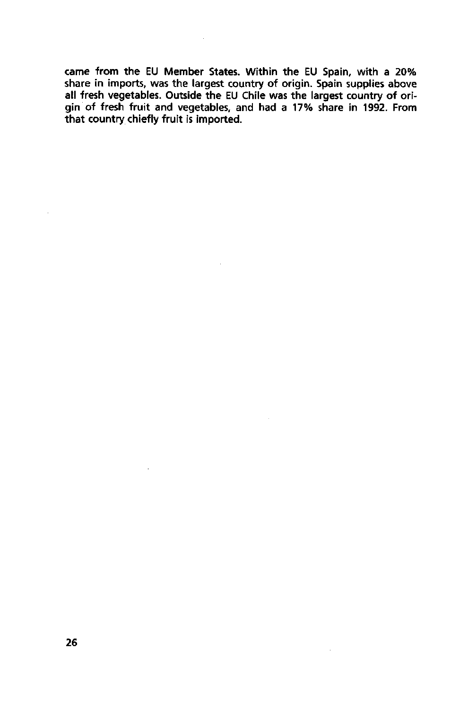came from the EU Member States. Within the EU Spain, with share in imports, was the largest country of origin. Spain supplies all fresh vegetables. Outside the EU Chile was the largest country gin of fresh fruit and vegetables, and had a 17% share in 199 that country chiefly fruit is imported.

 $\bar{z}$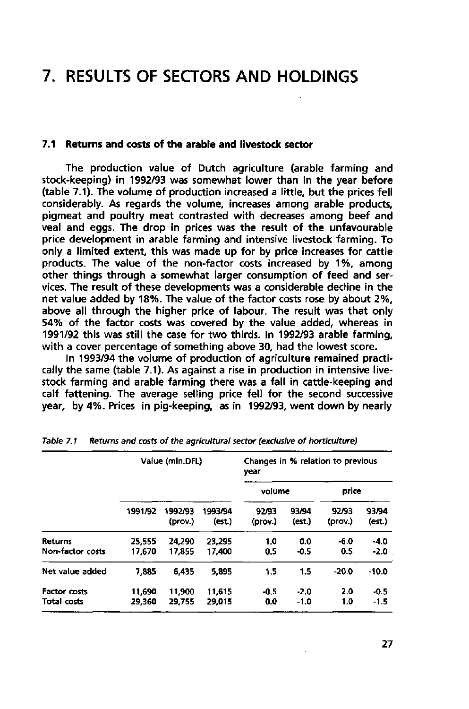## **7. RESULTS OF SECTORS AND HOLDINGS**

### **7.1 Returns and costs of the arable and livestock sector**

The production value of Dutch agriculture (arable farming and stock-keeping) in 1992/93 was somewhat lower than in the year before (table 7.1). The volume of production increased a little, but the prices fell considerably. As regards the volume, increases among arable products, pigmeat and poultry meat contrasted with decreases among beef and veal and eggs. The drop in prices was the result of the unfavourable price development in arable farming and intensive livestock farming. To only a limited extent, this was made up for by price increases for cattle products. The value of the non-factor costs increased by 1%, among other things through a somewhat larger consumption of feed and services. The result of these developments was a considerable decline in the net value added by 18%. The value of the factor costs rose by about 2%, above all through the higher price of labour. The result was that only 54% of the factor costs was covered by the value added, whereas in 1991/92 this was still the case for two thirds. In 1992/93 arable farming, with a cover percentage of something above 30, had the lowest score.

In 1993/94 the volume of production of agriculture remained practically the same (table 7.1). As against a rise in production in intensive livestock farming and arable farming there was a fall in cattle-keeping and calf fattening. The average selling price fell for the second successive year, by 4%. Prices in pig-keeping, as in 1992/93, went down by nearly

|                                           |                  | Value (mln.DFL)    |                   | year             |                  | Changes in % relation to previous |                  |
|-------------------------------------------|------------------|--------------------|-------------------|------------------|------------------|-----------------------------------|------------------|
|                                           |                  |                    |                   | volume           |                  | price                             |                  |
|                                           | 1991/92          | 1992/93<br>(prov.) | 1993/94<br>(est.) | 92/93<br>(prov.) | 93/94<br>(est.)  | 92/93<br>(prov.)                  | 93/94<br>(est.)  |
| <b>Returns</b><br>Non-factor costs        | 25,555<br>17.670 | 24.290<br>17,855   | 23.295<br>17,400  | 1.0<br>0.5       | 0.0<br>$-0.5$    | $-6.0$<br>0.5                     | $-4.0$<br>-2.0   |
| Net value added                           | 7.885            | 6.435              | 5.895             | 1.5              | 1.5              | $-20.0$                           | $-10.0$          |
| <b>Factor costs</b><br><b>Total costs</b> | 11,690<br>29,360 | 11.900<br>29.755   | 11.615<br>29.015  | $-0.5$<br>0.0    | $-2.0$<br>$-1.0$ | 2.0<br>1.0                        | $-0.5$<br>$-1.5$ |

Table 7.1 Returns and costs of the agricultural sector (exclusive of horticulture)

**27**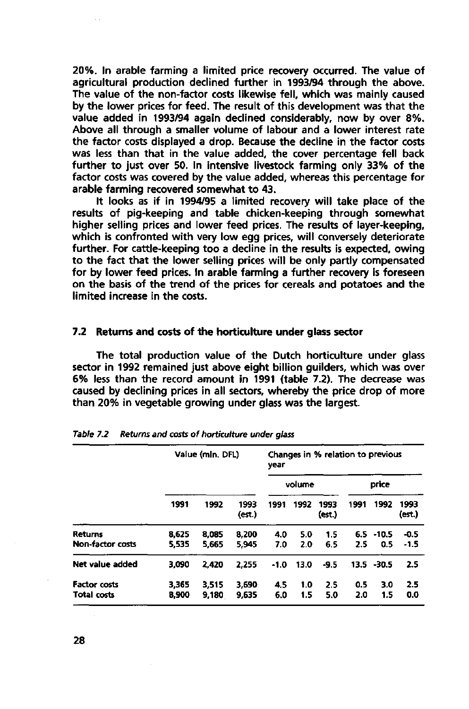20%. In arable farming a limited price recovery occurred. The value of agricultural production declined further in 1993/94 through the above. The value of the non-factor costs likewise fell, which was mainly caused by the lower prices for feed. The result of this development was that the value added in 1993/94 again declined considerably, now by over 8%. Above all through a smaller volume of labour and a lower interest rate the factor costs displayed a drop. Because the decline in the factor costs was less than that in the value added, the cover percentage fell back further to just over 50. In intensive livestock farming only 33% of the factor costs was covered by the value added, whereas this percentage for arable farming recovered somewhat to 43.

It looks as if in 1994/95 a limited recovery will take place of the results of pig-keeping and table chicken-keeping through somewhat higher selling prices and lower feed prices. The results of layer-keeping, which is confronted with very low egg prices, will conversely deteriorate further. For cattle-keeping too a decline in the results is expected, owing to the fact that the lower selling prices will be only partly compensated for by lower feed prices. In arable farming a further recovery is foreseen on the basis of the trend of the prices for cereals and potatoes and the limited increase in the costs.

### **7.2 Returns and costs of the horticulture under glass sector**

The total production value of the Dutch horticulture under glass sector in 1992 remained just above eight billion guilders, which was over 6% less than the record amount in 1991 (table 7.2). The decrease was caused by declining prices in all sectors, whereby the price drop of more than 20% in vegetable growing under glass was the largest.

|                                    |                | Value (mln. DFL) |                | year       |            | Changes in % relation to previous |            |                     |                |
|------------------------------------|----------------|------------------|----------------|------------|------------|-----------------------------------|------------|---------------------|----------------|
|                                    |                |                  | volume         |            |            | price                             |            |                     |                |
|                                    | 1991           | 1992             | 1993<br>(est.) | 1991       | 1992       | 1993<br>(est.)                    | 1991       | 1992                | 1993<br>(est.) |
| Returns<br><b>Non-factor costs</b> | 8,625<br>5,535 | 8,085<br>5,665   | 8,200<br>5.945 | 4.0<br>7.0 | 5.0<br>2.0 | 1.5<br>6.5                        | 2.5        | $6.5 - 10.5$<br>0.5 | $-0.5$<br>-1.5 |
| Net value added                    | 3,090          | 2,420            | 2,255          | $-1.0$     | 13.0       | $-9.5$                            |            | $13.5 - 30.5$       | 2.5            |
| <b>Factor costs</b><br>Total costs | 3,365<br>8,900 | 3,515<br>9,180   | 3,690<br>9,635 | 4.5<br>6.0 | 1.0<br>1.5 | 2.5<br>5.0                        | 0.5<br>2.0 | 3.0<br>1.5          | 2.5<br>0.0     |

|  | Table 7.2 Returns and costs of horticulture under glass |  |  |  |  |
|--|---------------------------------------------------------|--|--|--|--|
|--|---------------------------------------------------------|--|--|--|--|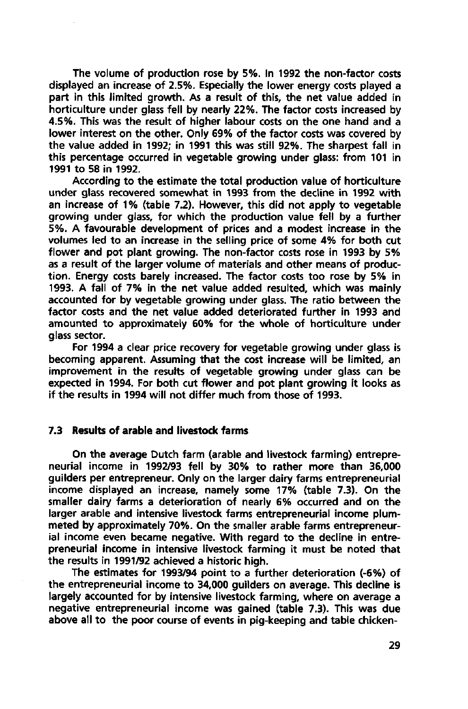The volume of production rose by 5%. In 1992 the non-factor costs displayed an increase of 2.5%. Especially the lower energy costs played a part in this limited growth. As a result of this, the net value added in horticulture under glass fell by nearly 22%. The factor costs increased by 4.5%. This was the result of higher labour costs on the one hand and a lower interest on the other. Only 69% of the factor costs was covered by the value added in 1992; in 1991 this was still 92%. The sharpest fall in this percentage occurred in vegetable growing under glass: from 101 in 1991 to 58 in 1992.

According to the estimate the total production value of horticulture under glass recovered somewhat in 1993 from the decline in 1992 with an increase of 1% (table 7.2). However, this did not apply to vegetable growing under glass, for which the production value fell by a further 5%. A favourable development of prices and a modest increase in the volumes led to an increase in the selling price of some 4% for both cut flower and pot plant growing. The non-factor costs rose in 1993 by 5% as a result of the larger volume of materials and other means of production. Energy costs barely increased. The factor costs too rose by 5% in 1993. A fall of 7% in the net value added resulted, which was mainly accounted for by vegetable growing under glass. The ratio between the factor costs and the net value added deteriorated further in 1993 and amounted to approximately 60% for the whole of horticulture under glass sector.

For 1994 a clear price recovery for vegetable growing under glass is becoming apparent. Assuming that the cost increase will be limited, an improvement in the results of vegetable growing under glass can be expected in 1994. For both cut flower and pot plant growing it looks as if the results in 1994 will not differ much from those of 1993.

### **7.3 Results of arable and livestock farms**

On the average Dutch farm (arable and livestock farming) entrepreneurial income in 1992/93 fell by 30% to rather more than 36,000 guilders per entrepreneur. Only on the larger dairy farms entrepreneurial income displayed an increase, namely some 17% (table 7.3). On the smaller dairy farms a deterioration of nearly 6% occurred and on the larger arable and intensive livestock farms entrepreneurial income plummeted by approximately 70%. On the smaller arable farms entrepreneurial income even became negative. With regard to the decline in entrepreneurial income in intensive livestock farming it must be noted that the results in 1991/92 achieved a historic high.

The estimates for 1993/94 point to a further deterioration (-6%) of the entrepreneurial income to 34,000 guilders on average. This decline is largely accounted for by intensive livestock farming, where on average a negative entrepreneurial income was gained (table 7.3). This was due above all to the poor course of events in pig-keeping and table chicken-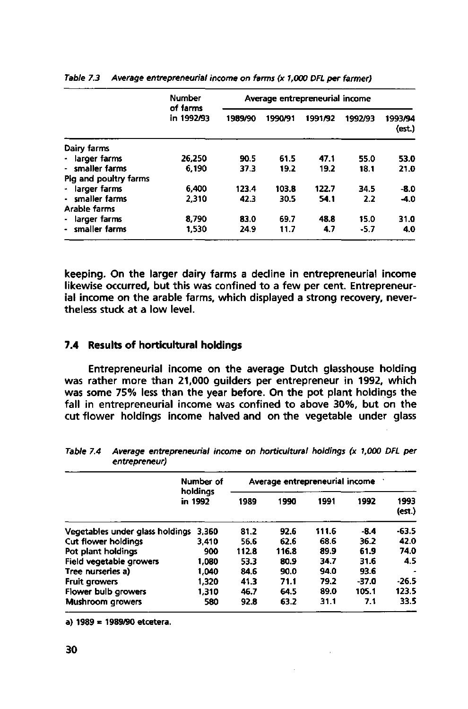|                       | <b>Number</b><br>of farms<br>in 1992/93 | Average entrepreneurial income |         |         |         |                   |  |  |
|-----------------------|-----------------------------------------|--------------------------------|---------|---------|---------|-------------------|--|--|
|                       |                                         | 1989/90                        | 1990/91 | 1991/92 | 1992/93 | 1993/94<br>(est.) |  |  |
| Dairy farms           |                                         |                                |         |         |         |                   |  |  |
| larger farms          | 26.250                                  | 90.5                           | 61.5    | 47.1    | 55.0    | 53.0              |  |  |
| smaller farms         | 6.190                                   | 37.3                           | 19.2    | 19.2    | 18.1    | 21.0              |  |  |
| Pig and poultry farms |                                         |                                |         |         |         |                   |  |  |
| larger farms          | 6.400                                   | 123.4                          | 103.8   | 122.7   | 34.5    | $-8.0$            |  |  |
| - smaller farms       | 2.310                                   | 42.3                           | 30.5    | 54.1    | 2.2     | $-4.0$            |  |  |
| Arable farms          |                                         |                                |         |         |         |                   |  |  |
| larger farms<br>۰.    | 8.790                                   | 83.0                           | 69.7    | 48.8    | 15.0    | 31.0              |  |  |
| smaller farms         | 1,530                                   | 24.9                           | 11.7    | 47      | $-5.7$  | 4.0               |  |  |

**Table 7.3 Average entrepreneurial income on farms (x 1,000 DFL per farmer)** 

keeping. On the larger dairy farms a decline in entrepreneurial income likewise occurred, but this was confined to a few per cent. Entrepreneurial income on the arable farms, which displayed a strong recovery, nevertheless stuck at a low level.

### **7.4 Results of horticultural holdings**

Entrepreneurial income on the average Dutch glasshouse holding was rather more than 21,000 guilders per entrepreneur in 1992, which was some 75% less than the year before. On the pot plant holdings the fall in entrepreneurial income was confined to above 30%, but on the cut flower holdings income halved and on the vegetable under glass

|                                 | Number of<br>holdings | Average entrepreneurial income |       |       |        |                |  |  |
|---------------------------------|-----------------------|--------------------------------|-------|-------|--------|----------------|--|--|
|                                 | in 1992               | 1989                           | 1990  | 1991  | 1992   | 1993<br>(est.) |  |  |
| Vegetables under glass holdings | 3.360                 | 81.2                           | 92.6  | 111.6 | $-8.4$ | $-63.5$        |  |  |
| Cut flower holdings             | 3.410                 | 56.6                           | 62.6  | 68.6  | 36.2   | 42.0           |  |  |
| Pot plant holdings              | 900                   | 112.8                          | 116.8 | 89.9  | 61.9   | 74.0           |  |  |
| Field vegetable growers         | 1,080                 | 53.3                           | 80.9  | 34.7  | 31.6   | 4.5            |  |  |
| Tree nurseries a)               | 1.040                 | 84.6                           | 90.0  | 94.0  | 93.6   |                |  |  |
| <b>Fruit growers</b>            | 1,320                 | 41.3                           | 71.1  | 79.2  | -37.0  | $-26.5$        |  |  |
| Flower bulb growers             | 1,310                 | 46.7                           | 64.5  | 89.0  | 105.1  | 123.5          |  |  |
| Mushroom growers                | 580                   | 92.8                           | 63.2  | 31.1  | 7.1    | 33.5           |  |  |

**Table 7.4 Average entrepreneurial income on horticultural holdings (x 1,000 DFL per entrepreneur)** 

**a) 1989 = 1989/90 etcetera.**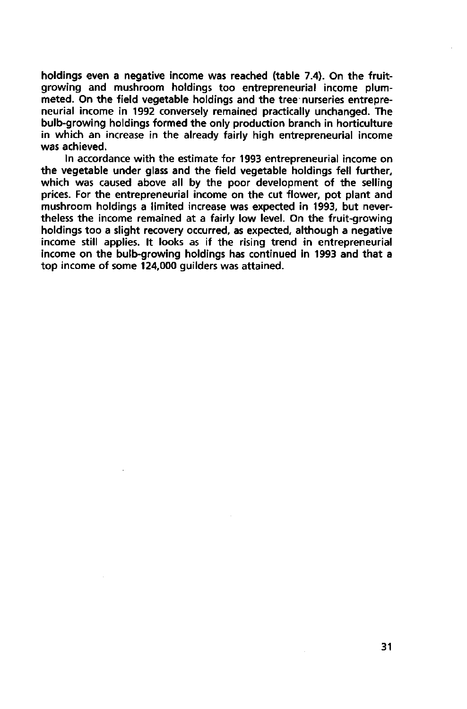holdings even a negative income was reached (table 7.4). On the fruitgrowing and mushroom holdings too entrepreneurial income plummeted. On the field vegetable holdings and the tree nurseries entrepreneurial income in 1992 conversely remained practically unchanged. The bulb-growing holdings formed the only production branch in horticulture in which an increase in the already fairly high entrepreneurial income was achieved.

In accordance with the estimate for 1993 entrepreneurial income on the vegetable under glass and the field vegetable holdings fell further, which was caused above all by the poor development of the selling prices. For the entrepreneurial income on the cut flower, pot plant and mushroom holdings a limited increase was expected in 1993, but nevertheless the income remained at a fairly low level. On the fruit-growing holdings too a slight recovery occurred, as expected, although a negative income still applies. It looks as if the rising trend in entrepreneurial income on the bulb-growing holdings has continued in 1993 and that a top income of some 124,000 guilders was attained.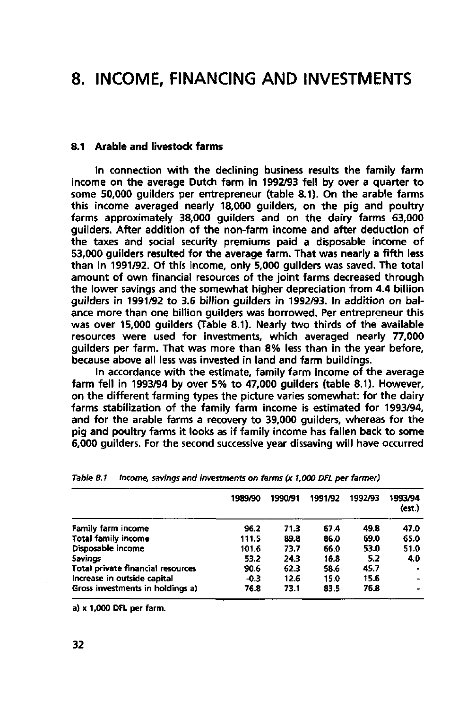## **8. INCOME, FINANCING AND INVESTMENTS**

### **8.1 Arable and livestock farms**

In connection with the declining business results the family farm income on the average Dutch farm in 1992/93 fell by over a quarter to some 50,000 quilders per entrepreneur (table 8.1). On the arable farms this income averaged nearly 18,000 guilders, on the pig and poultry farms approximately 38,000 guilders and on the dairy farms 63,000 guilders. After addition of the non-farm income and after deduction of the taxes and social security premiums paid a disposable income of 53,000 guilders resulted for the average farm. That was nearly a fifth less than in 1991/92. Of this income, only 5,000 guilders was saved. The total amount of own financial resources of the joint farms decreased through the lower savings and the somewhat higher depreciation from 4.4 billion guilders in 1991/92 to 3.6 billion guilders in 1992/93. In addition on balance more than one billion guilders was borrowed. Per entrepreneur this was over 15,000 guilders (Table 8.1). Nearly two thirds of the available resources were used for investments, which averaged nearly 77,000 guilders per farm. That was more than 8% less than in the year before, because above all less was invested in land and farm buildings.

In accordance with the estimate, family farm income of the average farm fell in 1993/94 by over 5% to 47,000 guilders (table 8.1). However, on the different farming types the picture varies somewhat: for the dairy farms stabilization of the family farm income is estimated for 1993/94, and for the arable farms a recovery to 39,000 guilders, whereas for the pig and poultry farms it looks as if family income has fallen back to some 6,000 guilders. For the second successive year dissaving will have occurred

|                                   | 1989/90 | 1990/91 | 1991/92 | 1992/93 | 1993/94<br>(est.) |
|-----------------------------------|---------|---------|---------|---------|-------------------|
| Family farm income                | 96.2    | 71.3    | 67.4    | 49.8    | 47.0              |
| <b>Total family income</b>        | 111.5   | 89.8    | 86.0    | 69.0    | 65.0              |
| Disposable income                 | 101.6   | 73.7    | 66.0    | 53.0    | 51.0              |
| Savings                           | 53.2    | 24.3    | 16.8    | 5.2     | 4.0               |
| Total private financial resources | 90.6    | 62.3    | 58.6    | 45.7    |                   |
| Increase in outside capital       | $-0.3$  | 12.6    | 15.0    | 15.6    | -                 |
| Gross investments in holdings a)  | 76.8    | 73.1    | 83.5    | 76.8    | ٠                 |

|  |  |  | Table 8.1 Income, savings and investments on farms (x 1,000 DFL per farmer) |  |  |  |  |  |  |
|--|--|--|-----------------------------------------------------------------------------|--|--|--|--|--|--|
|--|--|--|-----------------------------------------------------------------------------|--|--|--|--|--|--|

a) x 1,000 **DFL** per farm.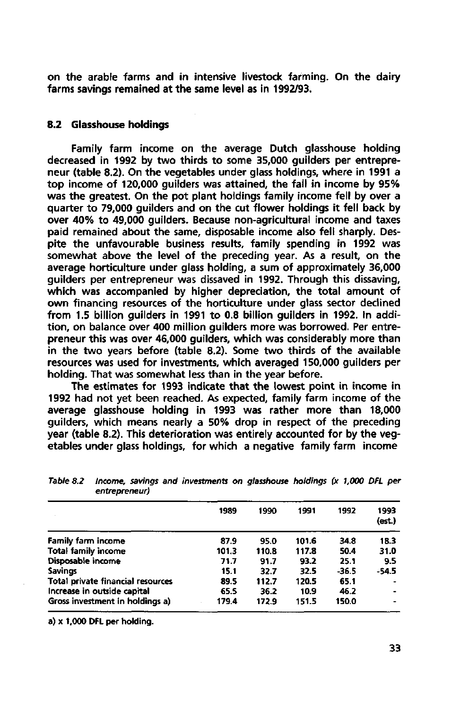on the arable farms and in intensive livestock farming. On the dairy farms savings remained at the same level as in 1992/93.

### **8.2 Glasshouse holdings**

Family farm income on the average Dutch glasshouse holding decreased in 1992 by two thirds to some 35,000 guilders per entrepreneur (table 8.2). On the vegetables under glass holdings, where in 1991 a top income of 120,000 guilders was attained, the fall in income by 95% was the greatest. On the pot plant holdings family income fell by over a quarter to 79,000 guilders and on the cut flower holdings it fell back by over 40% to 49,000 guilders. Because non-agricultural income and taxes paid remained about the same, disposable income also fell sharply. Despite the unfavourable business results, family spending in 1992 was somewhat above the level of the preceding year. As a result, on the average horticulture under glass holding, a sum of approximately 36,000 guilders per entrepreneur was dissaved in 1992. Through this dissaving, which was accompanied by higher depreciation, the total amount of own financing resources of the horticulture under glass sector declined from 1.5 billion guilders in 1991 to 0.8 billion guilders in 1992. In addition, on balance over 400 million guilders more was borrowed. Per entrepreneur this was over 46,000 guilders, which was considerably more than in the two years before (table 8.2). Some two thirds of the available resources was used for investments, which averaged 150,000 guilders per holding. That was somewhat less than in the year before.

The estimates for 1993 indicate that the lowest point in income in 1992 had not yet been reached. As expected, family farm income of the average glasshouse holding in 1993 was rather more than 18,000 guilders, which means nearly a 50% drop in respect of the preceding year (table 8.2). This deterioration was entirely accounted for by the vegetables under glass holdings, for which a negative family farm income

| 1989  | 1990  | 1991  | 1992  | 1993<br>(ext.) |
|-------|-------|-------|-------|----------------|
| 87.9  | 95.0  | 101.6 | 34.8  | 18.3           |
| 101.3 | 110.8 | 117.8 | 50.4  | 31.0           |
| 71.7  | 91.7  | 93.2  | 25.1  | 9.5            |
| 15.1  | 32.7  | 32.5  | -36.5 | $-54.5$        |
| 89.5  | 112.7 | 120.5 | 65.1  |                |
| 65.5  | 36.2  | 10.9  | 46.2  |                |
| 179.4 | 172.9 | 151.5 | 150.0 | $\blacksquare$ |
|       |       |       |       |                |

**Table 8.2 Income, savings and investments on glasshouse holdings (x 1,000 DFL per entrepreneur)** 

**a) x 1,000 DFL per holding.**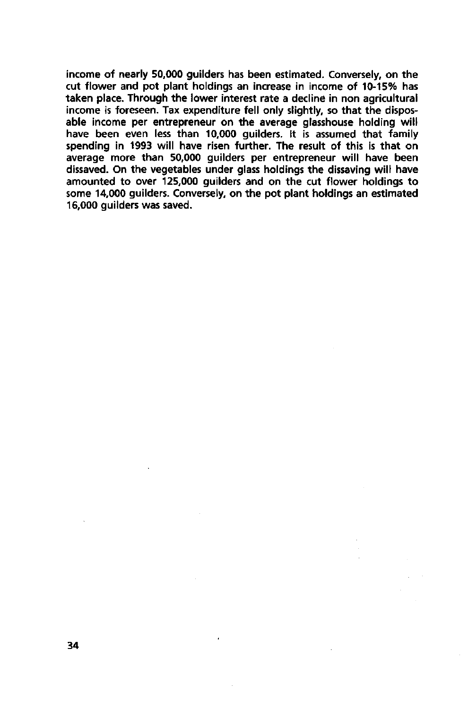income of nearly 50,000 guilders has been estimated. Conversely, on the cut flower and pot plant holdings an increase in income of 10-15% has taken place. Through the lower interest rate a decline in non agricultural income is foreseen. Tax expenditure fell only slightly, so that the disposable income per entrepreneur on the average glasshouse holding will have been even less than 10,000 guilders. It is assumed that family spending in 1993 will have risen further. The result of this is that on average more than 50,000 guilders per entrepreneur will have been dissaved. On the vegetables under glass holdings the dissaving will have amounted to over 125,000 guilders and on the cut flower holdings to some 14,000 guilders. Conversely, on the pot plant holdings an estimated 16,000 guilders was saved.